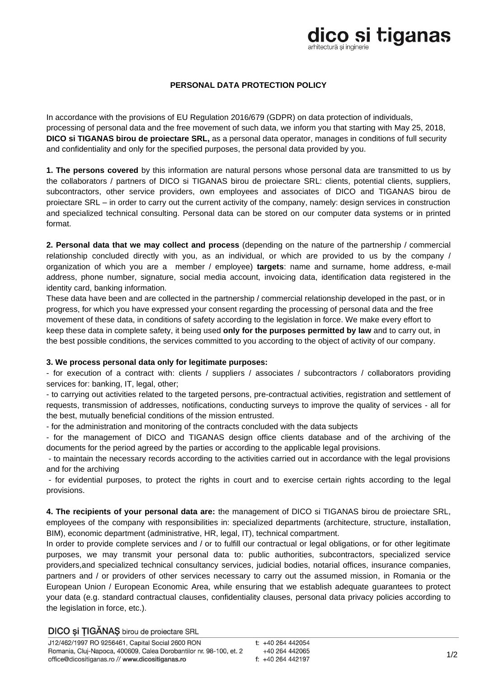# dico si tiganas

### **PERSONAL DATA PROTECTION POLICY**

In accordance with the provisions of EU Regulation 2016/679 (GDPR) on data protection of individuals, processing of personal data and the free movement of such data, we inform you that starting with May 25, 2018, **DICO si TIGANAS birou de proiectare SRL,** as a personal data operator, manages in conditions of full security and confidentiality and only for the specified purposes, the personal data provided by you.

**1. The persons covered** by this information are natural persons whose personal data are transmitted to us by the collaborators / partners of DICO si TIGANAS birou de proiectare SRL: clients, potential clients, suppliers, subcontractors, other service providers, own employees and associates of DICO and TIGANAS birou de proiectare SRL – in order to carry out the current activity of the company, namely: design services in construction and specialized technical consulting. Personal data can be stored on our computer data systems or in printed format.

**2. Personal data that we may collect and process** (depending on the nature of the partnership / commercial relationship concluded directly with you, as an individual, or which are provided to us by the company / organization of which you are a member / employee) **targets**: name and surname, home address, e-mail address, phone number, signature, social media account, invoicing data, identification data registered in the identity card, banking information.

These data have been and are collected in the partnership / commercial relationship developed in the past, or in progress, for which you have expressed your consent regarding the processing of personal data and the free movement of these data, in conditions of safety according to the legislation in force. We make every effort to keep these data in complete safety, it being used **only for the purposes permitted by law** and to carry out, in the best possible conditions, the services committed to you according to the object of activity of our company.

### **3. We process personal data only for legitimate purposes:**

- for execution of a contract with: clients / suppliers / associates / subcontractors / collaborators providing services for: banking, IT, legal, other;

- to carrying out activities related to the targeted persons, pre-contractual activities, registration and settlement of requests, transmission of addresses, notifications, conducting surveys to improve the quality of services - all for the best, mutually beneficial conditions of the mission entrusted.

- for the administration and monitoring of the contracts concluded with the data subjects

- for the management of DICO and TIGANAS design office clients database and of the archiving of the documents for the period agreed by the parties or according to the applicable legal provisions.

- to maintain the necessary records according to the activities carried out in accordance with the legal provisions and for the archiving

- for evidential purposes, to protect the rights in court and to exercise certain rights according to the legal provisions.

**4. The recipients of your personal data are:** the management of DICO si TIGANAS birou de proiectare SRL, employees of the company with responsibilities in: specialized departments (architecture, structure, installation, BIM), economic department (administrative, HR, legal, IT), technical compartment.

In order to provide complete services and / or to fulfill our contractual or legal obligations, or for other legitimate purposes, we may transmit your personal data to: public authorities, subcontractors, specialized service providers,and specialized technical consultancy services, judicial bodies, notarial offices, insurance companies, partners and / or providers of other services necessary to carry out the assumed mission, in Romania or the European Union / European Economic Area, while ensuring that we establish adequate guarantees to protect your data (e.g. standard contractual clauses, confidentiality clauses, personal data privacy policies according to the legislation in force, etc.).

DICO și TIGANAȘ birou de proiectare SRL